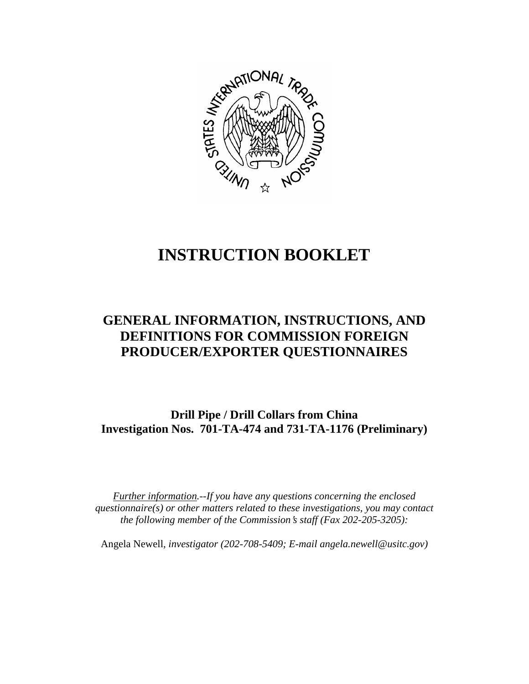

# **INSTRUCTION BOOKLET**

# **GENERAL INFORMATION, INSTRUCTIONS, AND DEFINITIONS FOR COMMISSION FOREIGN PRODUCER/EXPORTER QUESTIONNAIRES**

**Drill Pipe / Drill Collars from China Investigation Nos. 701-TA-474 and 731-TA-1176 (Preliminary)**

*Further information.--If you have any questions concerning the enclosed questionnaire(s) or other matters related to these investigations, you may contact the following member of the Commission*=*s staff (Fax 202-205-3205):* 

Angela Newell*, investigator (202-708-5409; E-mail angela.newell@usitc.gov)*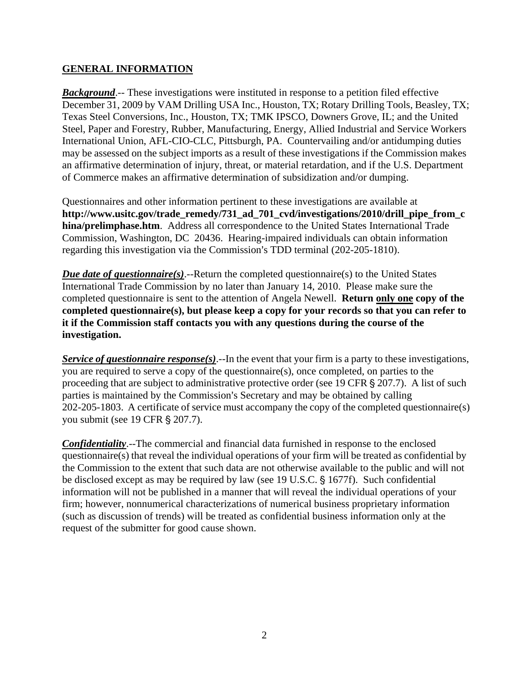## **GENERAL INFORMATION**

*Background*.-- These investigations were instituted in response to a petition filed effective December 31, 2009 by VAM Drilling USA Inc., Houston, TX; Rotary Drilling Tools, Beasley, TX; Texas Steel Conversions, Inc., Houston, TX; TMK IPSCO, Downers Grove, IL; and the United Steel, Paper and Forestry, Rubber, Manufacturing, Energy, Allied Industrial and Service Workers International Union, AFL-CIO-CLC, Pittsburgh, PA. Countervailing and/or antidumping duties may be assessed on the subject imports as a result of these investigations if the Commission makes an affirmative determination of injury, threat, or material retardation, and if the U.S. Department of Commerce makes an affirmative determination of subsidization and/or dumping.

Questionnaires and other information pertinent to these investigations are available at **http://www.usitc.gov/trade\_remedy/731\_ad\_701\_cvd/investigations/2010/drill\_pipe\_from\_c hina/prelimphase.htm**. Address all correspondence to the United States International Trade Commission, Washington, DC 20436. Hearing-impaired individuals can obtain information regarding this investigation via the Commission's TDD terminal (202-205-1810).

*Due date of questionnaire(s)*.--Return the completed questionnaire(s) to the United States International Trade Commission by no later than January 14, 2010. Please make sure the completed questionnaire is sent to the attention of Angela Newell. **Return only one copy of the completed questionnaire(s), but please keep a copy for your records so that you can refer to it if the Commission staff contacts you with any questions during the course of the investigation.**

*Service of questionnaire response(s)*.--In the event that your firm is a party to these investigations, you are required to serve a copy of the questionnaire(s), once completed, on parties to the proceeding that are subject to administrative protective order (see 19 CFR  $\S 207.7$ ). A list of such parties is maintained by the Commission's Secretary and may be obtained by calling 202-205-1803. A certificate of service must accompany the copy of the completed questionnaire(s) you submit (see 19 CFR § 207.7).

*Confidentiality*.--The commercial and financial data furnished in response to the enclosed questionnaire(s) that reveal the individual operations of your firm will be treated as confidential by the Commission to the extent that such data are not otherwise available to the public and will not be disclosed except as may be required by law (see 19 U.S.C. § 1677f). Such confidential information will not be published in a manner that will reveal the individual operations of your firm; however, nonnumerical characterizations of numerical business proprietary information (such as discussion of trends) will be treated as confidential business information only at the request of the submitter for good cause shown.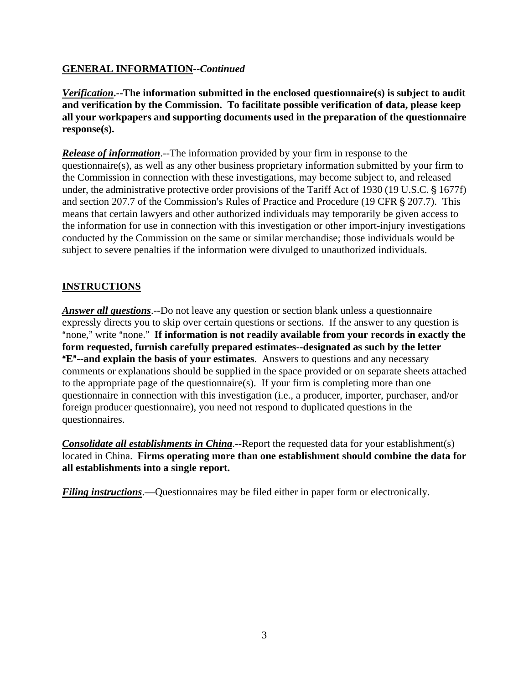# **GENERAL INFORMATION--***Continued*

*Verification***.--The information submitted in the enclosed questionnaire(s) is subject to audit and verification by the Commission. To facilitate possible verification of data, please keep all your workpapers and supporting documents used in the preparation of the questionnaire response(s).**

*Release of information*.--The information provided by your firm in response to the questionnaire(s), as well as any other business proprietary information submitted by your firm to the Commission in connection with these investigations, may become subject to, and released under, the administrative protective order provisions of the Tariff Act of 1930 (19 U.S.C. § 1677f) and section 207.7 of the Commission's Rules of Practice and Procedure (19 CFR  $\S 207.7$ ). This means that certain lawyers and other authorized individuals may temporarily be given access to the information for use in connection with this investigation or other import-injury investigations conducted by the Commission on the same or similar merchandise; those individuals would be subject to severe penalties if the information were divulged to unauthorized individuals.

# **INSTRUCTIONS**

*Answer all questions*.--Do not leave any question or section blank unless a questionnaire expressly directs you to skip over certain questions or sections. If the answer to any question is "none," write "none." If information is not readily available from your records in exactly the **form requested, furnish carefully prepared estimates--designated as such by the letter E<sup>"</sup>--and explain the basis of your estimates**. Answers to questions and any necessary comments or explanations should be supplied in the space provided or on separate sheets attached to the appropriate page of the questionnaire(s). If your firm is completing more than one questionnaire in connection with this investigation (i.e., a producer, importer, purchaser, and/or foreign producer questionnaire), you need not respond to duplicated questions in the questionnaires.

*Consolidate all establishments in China*.--Report the requested data for your establishment(s) located in China. **Firms operating more than one establishment should combine the data for all establishments into a single report.** 

*Filing instructions*.—Questionnaires may be filed either in paper form or electronically.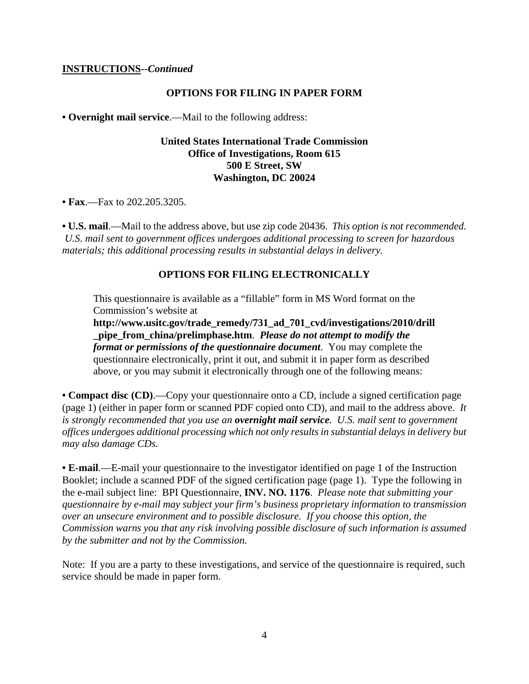#### **INSTRUCTIONS--***Continued*

#### **OPTIONS FOR FILING IN PAPER FORM**

**• Overnight mail service**.—Mail to the following address:

## **United States International Trade Commission Office of Investigations, Room 615 500 E Street, SW Washington, DC 20024**

**• Fax**.—Fax to 202.205.3205.

**• U.S. mail**.—Mail to the address above, but use zip code 20436. *This option is not recommended. U.S. mail sent to government offices undergoes additional processing to screen for hazardous materials; this additional processing results in substantial delays in delivery.* 

#### **OPTIONS FOR FILING ELECTRONICALLY**

This questionnaire is available as a "fillable" form in MS Word format on the Commission's website at

**http://www.usitc.gov/trade\_remedy/731\_ad\_701\_cvd/investigations/2010/drill \_pipe\_from\_china/prelimphase.htm**. *Please do not attempt to modify the format or permissions of the questionnaire document*. You may complete the questionnaire electronically, print it out, and submit it in paper form as described above, or you may submit it electronically through one of the following means:

**• Compact disc (CD)**.—Copy your questionnaire onto a CD, include a signed certification page (page 1) (either in paper form or scanned PDF copied onto CD), and mail to the address above. *It is strongly recommended that you use an overnight mail service. U.S. mail sent to government offices undergoes additional processing which not only results in substantial delays in delivery but may also damage CDs.* 

**• E-mail**.—E-mail your questionnaire to the investigator identified on page 1 of the Instruction Booklet; include a scanned PDF of the signed certification page (page 1). Type the following in the e-mail subject line: BPI Questionnaire, **INV. NO. 1176**. *Please note that submitting your questionnaire by e-mail may subject your firm's business proprietary information to transmission over an unsecure environment and to possible disclosure. If you choose this option, the Commission warns you that any risk involving possible disclosure of such information is assumed by the submitter and not by the Commission.* 

Note: If you are a party to these investigations, and service of the questionnaire is required, such service should be made in paper form.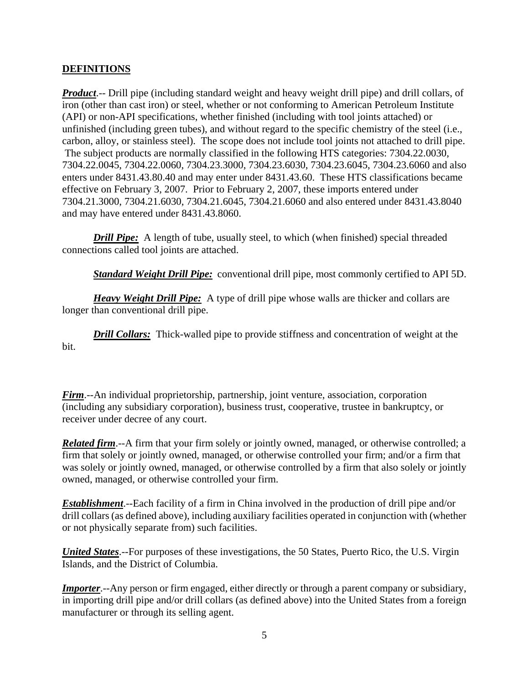# **DEFINITIONS**

*Product*.-- Drill pipe (including standard weight and heavy weight drill pipe) and drill collars, of iron (other than cast iron) or steel, whether or not conforming to American Petroleum Institute (API) or non-API specifications, whether finished (including with tool joints attached) or unfinished (including green tubes), and without regard to the specific chemistry of the steel (i.e., carbon, alloy, or stainless steel). The scope does not include tool joints not attached to drill pipe. The subject products are normally classified in the following HTS categories: 7304.22.0030, 7304.22.0045, 7304.22.0060, 7304.23.3000, 7304.23.6030, 7304.23.6045, 7304.23.6060 and also enters under 8431.43.80.40 and may enter under 8431.43.60. These HTS classifications became effective on February 3, 2007. Prior to February 2, 2007, these imports entered under 7304.21.3000, 7304.21.6030, 7304.21.6045, 7304.21.6060 and also entered under 8431.43.8040 and may have entered under 8431.43.8060.

*Drill Pipe:* A length of tube, usually steel, to which (when finished) special threaded connections called tool joints are attached.

*Standard Weight Drill Pipe:* conventional drill pipe, most commonly certified to API 5D.

*Heavy Weight Drill Pipe:* A type of drill pipe whose walls are thicker and collars are longer than conventional drill pipe.

*Drill Collars:* Thick-walled pipe to provide stiffness and concentration of weight at the bit.

*Firm*.--An individual proprietorship, partnership, joint venture, association, corporation (including any subsidiary corporation), business trust, cooperative, trustee in bankruptcy, or receiver under decree of any court.

*Related firm*.--A firm that your firm solely or jointly owned, managed, or otherwise controlled; a firm that solely or jointly owned, managed, or otherwise controlled your firm; and/or a firm that was solely or jointly owned, managed, or otherwise controlled by a firm that also solely or jointly owned, managed, or otherwise controlled your firm.

*Establishment*.--Each facility of a firm in China involved in the production of drill pipe and/or drill collars (as defined above), including auxiliary facilities operated in conjunction with (whether or not physically separate from) such facilities.

*United States*.--For purposes of these investigations, the 50 States, Puerto Rico, the U.S. Virgin Islands, and the District of Columbia.

*Importer.*--Any person or firm engaged, either directly or through a parent company or subsidiary, in importing drill pipe and/or drill collars (as defined above) into the United States from a foreign manufacturer or through its selling agent.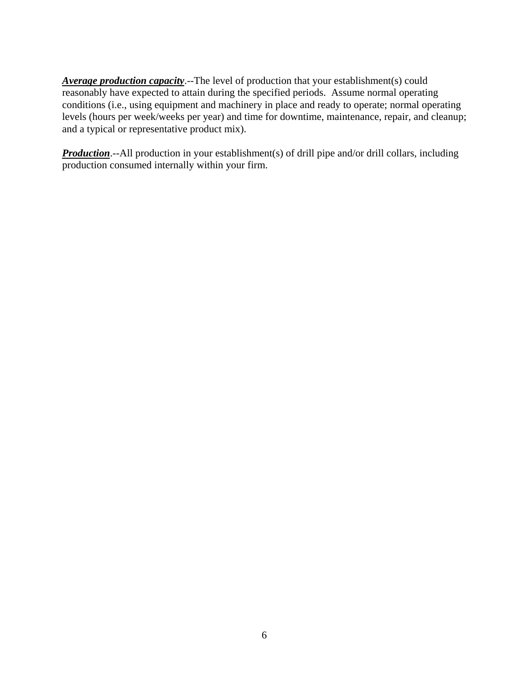*Average production capacity*.--The level of production that your establishment(s) could reasonably have expected to attain during the specified periods. Assume normal operating conditions (i.e., using equipment and machinery in place and ready to operate; normal operating levels (hours per week/weeks per year) and time for downtime, maintenance, repair, and cleanup; and a typical or representative product mix).

**Production**.--All production in your establishment(s) of drill pipe and/or drill collars, including production consumed internally within your firm.